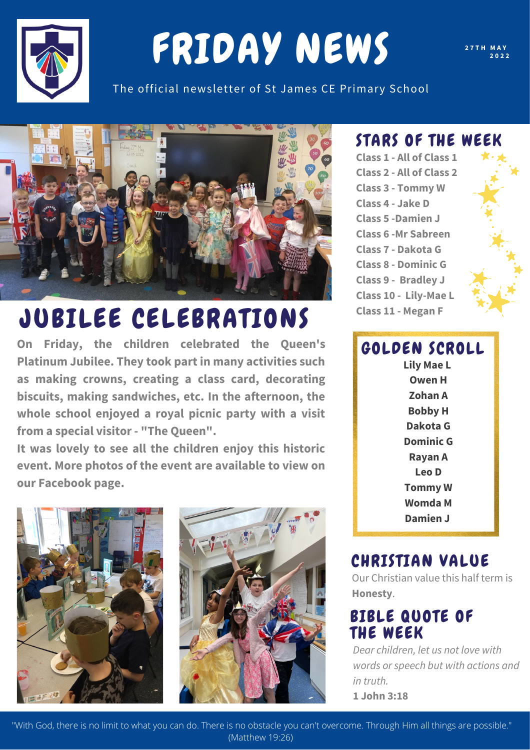

# FRIDAY NEWS

**2 7 T H M A Y 2 0 2 2**

The official newsletter of St James CE Primary School



## JUBILEE CELEBRATIONS

**On Friday, the children celebrated the Queen's Platinum Jubilee. They took part in many activities such as making crowns, creating a class card, decorating biscuits, making sandwiches, etc. In the afternoon, the whole school enjoyed a royal picnic party with a visit from a special visitor - "The Queen" .**

**It was lovely to see all the children enjoy this historic event. More photos of the event are available to view on our Facebook page.**





#### STARS OF THE WEEK

**Class 1 - All of Class 1 Class 2 - All of Class 2 Class 3 - Tommy W Class 4 - Jake D Class 5 -Damien J Class 6 -Mr Sabreen Class 7 - Dakota G Class 8 - Dominic G Class 9 - Bradley J Class 10 - Lily-Mae L Class 11 - Megan F**

### GOLDEN SCROLL

**Lily Mae L Owen H Zohan A Bobby H Dakota G Dominic G Rayan A Leo D Tommy W Womda M Damien J**

#### CHRISTIAN VALUE

Our Christian value this half term is **Honesty**.

#### BIBLE QUOTE OF THE WEEK

*Dear children, let us not love with words or speech but with actions and in truth.* **1 John 3:18**

"With God, there is no limit to what you can do. There is no obstacle you can't overcome. Through Him all things are possible." (Matthew 19:26)